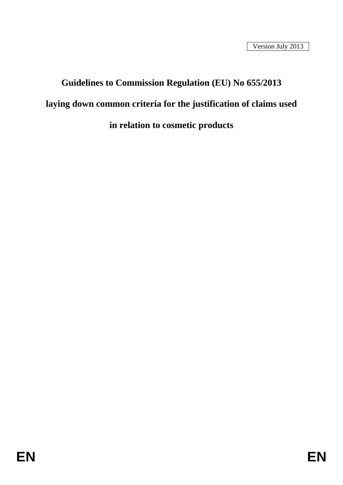# **Guidelines to Commission Regulation (EU) No 655/2013 laying down common criteria for the justification of claims used in relation to cosmetic products**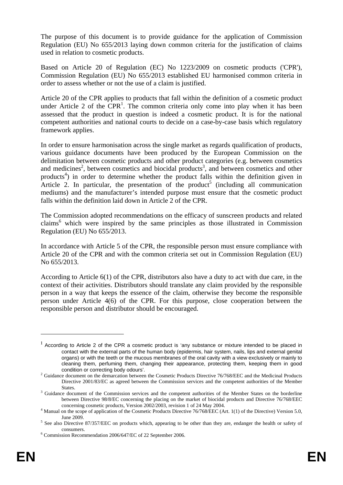The purpose of this document is to provide guidance for the application of Commission Regulation (EU) No 655/2013 laying down common criteria for the justification of claims used in relation to cosmetic products.

Based on Article 20 of Regulation (EC) No 1223/2009 on cosmetic products ('CPR'), Commission Regulation (EU) No 655/2013 established EU harmonised common criteria in order to assess whether or not the use of a claim is justified.

Article 20 of the CPR applies to products that fall within the definition of a cosmetic product under Article 2 of the  $CPR<sup>1</sup>$ . The common criteria only come into play when it has been assessed that the product in question is indeed a cosmetic product. It is for the national competent authorities and national courts to decide on a case-by-case basis which regulatory framework applies.

In order to ensure harmonisation across the single market as regards qualification of products, various guidance documents have been produced by the European Commission on the delimitation between cosmetic products and other product categories (e.g. between cosmetics and medicines<sup>2</sup>, between cosmetics and biocidal products<sup>3</sup>, and between cosmetics and other products<sup>4</sup>) in order to determine whether the product falls within the definition given in Article 2. In particular, the presentation of the product<sup>5</sup> (including all communication mediums) and the manufacturer's intended purpose must ensure that the cosmetic product falls within the definition laid down in Article 2 of the CPR.

The Commission adopted recommendations on the efficacy of sunscreen products and related claims<sup>6</sup> which were inspired by the same principles as those illustrated in Commission Regulation (EU) No 655/2013.

In accordance with Article 5 of the CPR, the responsible person must ensure compliance with Article 20 of the CPR and with the common criteria set out in Commission Regulation (EU) No 655/2013.

According to Article 6(1) of the CPR, distributors also have a duty to act with due care, in the context of their activities. Distributors should translate any claim provided by the responsible person in a way that keeps the essence of the claim, otherwise they become the responsible person under Article 4(6) of the CPR. For this purpose, close cooperation between the responsible person and distributor should be encouraged.

<u>.</u>

<sup>1</sup> According to Article 2 of the CPR a cosmetic product is 'any substance or mixture intended to be placed in contact with the external parts of the human body (epidermis, hair system, nails, lips and external genital organs) or with the teeth or the mucous membranes of the oral cavity with a view exclusively or mainly to cleaning them, perfuming them, changing their appearance, protecting them, keeping them in good condition or correcting body odours'. <sup>2</sup> Guidance document on the demarcation between the Cosmetic Products Directive 76/768/EEC and the Medicinal Products

Directive 2001/83/EC as agreed between the Commission services and the competent authorities of the Member States.<br><sup>3</sup> Guidance document of the Commission services and the competent authorities of the Member States on the borderline

between Directive 98/8/EC concerning the placing on the market of biocidal products and Directive 76/768/EEC concerning cosmetic products, Version 2002/2003, revision 1 of 24 May 2004.

<sup>&</sup>lt;sup>4</sup> Manual on the scope of application of the Cosmetic Products Directive 76/768/EEC (Art. 1(1) of the Directive) Version 5.0,

June 2009.<br><sup>5</sup> See also Directive 87/357/EEC on products which, appearing to be other than they are, endanger the health or safety of

consumers. <sup>6</sup> Commission Recommendation 2006/647/EC of 22 September 2006.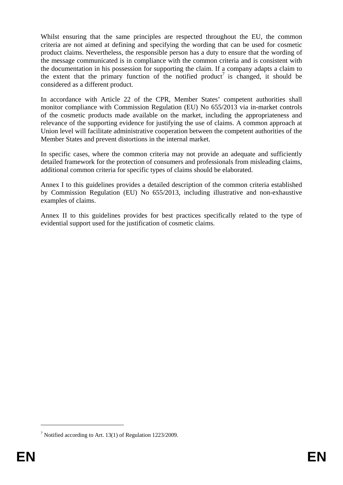Whilst ensuring that the same principles are respected throughout the EU, the common criteria are not aimed at defining and specifying the wording that can be used for cosmetic product claims. Nevertheless, the responsible person has a duty to ensure that the wording of the message communicated is in compliance with the common criteria and is consistent with the documentation in his possession for supporting the claim. If a company adapts a claim to the extent that the primary function of the notified product<sup>7</sup> is changed, it should be considered as a different product.

In accordance with Article 22 of the CPR, Member States' competent authorities shall monitor compliance with Commission Regulation (EU) No 655/2013 via in-market controls of the cosmetic products made available on the market, including the appropriateness and relevance of the supporting evidence for justifying the use of claims. A common approach at Union level will facilitate administrative cooperation between the competent authorities of the Member States and prevent distortions in the internal market.

In specific cases, where the common criteria may not provide an adequate and sufficiently detailed framework for the protection of consumers and professionals from misleading claims, additional common criteria for specific types of claims should be elaborated.

Annex I to this guidelines provides a detailed description of the common criteria established by Commission Regulation (EU) No 655/2013, including illustrative and non-exhaustive examples of claims.

Annex II to this guidelines provides for best practices specifically related to the type of evidential support used for the justification of cosmetic claims.

<sup>&</sup>lt;sup>7</sup> Notified according to Art. 13(1) of Regulation 1223/2009.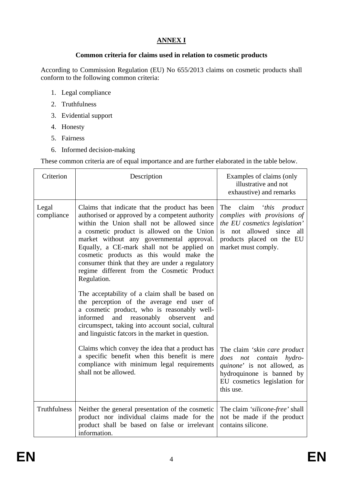## **ANNEX I**

### **Common criteria for claims used in relation to cosmetic products**

According to Commission Regulation (EU) No 655/2013 claims on cosmetic products shall conform to the following common criteria:

- 1. Legal compliance
- 2. Truthfulness
- 3. Evidential support
- 4. Honesty
- 5. Fairness
- 6. Informed decision-making

These common criteria are of equal importance and are further elaborated in the table below.

| Criterion           | Description                                                                                                                                                                                                                                                                                                                                                                                                                                                                                             | Examples of claims (only<br>illustrative and not<br>exhaustive) and remarks                                                                                                |
|---------------------|---------------------------------------------------------------------------------------------------------------------------------------------------------------------------------------------------------------------------------------------------------------------------------------------------------------------------------------------------------------------------------------------------------------------------------------------------------------------------------------------------------|----------------------------------------------------------------------------------------------------------------------------------------------------------------------------|
| Legal<br>compliance | Claims that indicate that the product has been<br>authorised or approved by a competent authority<br>within the Union shall not be allowed since<br>a cosmetic product is allowed on the Union<br>market without any governmental approval.<br>Equally, a CE-mark shall not be applied on<br>cosmetic products as this would make the<br>consumer think that they are under a regulatory<br>regime different from the Cosmetic Product<br>Regulation.<br>The acceptability of a claim shall be based on | The<br>claim 'this product<br>complies with provisions of<br>the EU cosmetics legislation'<br>is not allowed since all<br>products placed on the EU<br>market must comply. |
|                     | the perception of the average end user of<br>a cosmetic product, who is reasonably well-<br>informed<br>and reasonably observent<br>and<br>circumspect, taking into account social, cultural<br>and linguistic fatcors in the market in question.                                                                                                                                                                                                                                                       |                                                                                                                                                                            |
|                     | Claims which convey the idea that a product has<br>a specific benefit when this benefit is mere<br>compliance with minimum legal requirements<br>shall not be allowed.                                                                                                                                                                                                                                                                                                                                  | The claim 'skin care product<br>does<br>not contain hydro-<br>quinone' is not allowed, as<br>hydroquinone is banned by<br>EU cosmetics legislation for<br>this use.        |
| Truthfulness        | Neither the general presentation of the cosmetic<br>product nor individual claims made for the<br>product shall be based on false or irrelevant<br>information.                                                                                                                                                                                                                                                                                                                                         | The claim 'silicone-free' shall<br>not be made if the product<br>contains silicone.                                                                                        |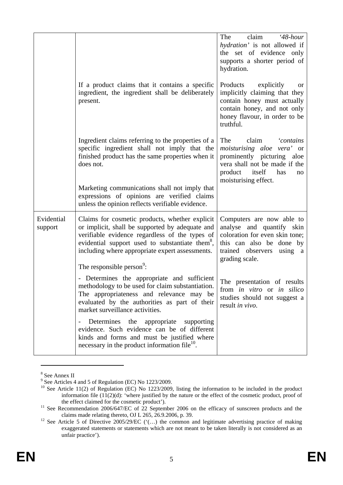|                       |                                                                                                                                                                                                                                                                                                                | claim<br>The<br>$48$ -hour<br>hydration' is not allowed if<br>the set of evidence only<br>supports a shorter period of<br>hydration.                                                       |
|-----------------------|----------------------------------------------------------------------------------------------------------------------------------------------------------------------------------------------------------------------------------------------------------------------------------------------------------------|--------------------------------------------------------------------------------------------------------------------------------------------------------------------------------------------|
|                       | If a product claims that it contains a specific<br>ingredient, the ingredient shall be deliberately<br>present.                                                                                                                                                                                                | Products<br>explicitly<br>or<br>implicitly claiming that they<br>contain honey must actually<br>contain honey, and not only<br>honey flavour, in order to be<br>truthful.                  |
|                       | Ingredient claims referring to the properties of a<br>specific ingredient shall not imply that the<br>finished product has the same properties when it<br>does not.                                                                                                                                            | The<br>claim<br><i>contains</i><br><i>moisturising aloe vera'</i> or<br>prominently picturing aloe<br>vera shall not be made if the<br>product itself<br>has<br>no<br>moisturising effect. |
|                       | Marketing communications shall not imply that<br>expressions of opinions are verified claims<br>unless the opinion reflects verifiable evidence.                                                                                                                                                               |                                                                                                                                                                                            |
| Evidential<br>support | Claims for cosmetic products, whether explicit<br>or implicit, shall be supported by adequate and<br>verifiable evidence regardless of the types of<br>evidential support used to substantiate them <sup>8</sup> ,<br>including where appropriate expert assessments.<br>The responsible person <sup>9</sup> : | Computers are now able to<br>analyse and quantify skin<br>coloration for even skin tone;<br>this can also be done by<br>trained observers using a<br>grading scale.                        |
|                       | - Determines the appropriate and sufficient<br>methodology to be used for claim substantiation.<br>The appropriateness and relevance may be<br>evaluated by the authorities as part of their<br>market surveillance activities.                                                                                | The presentation of results<br>from in vitro or in silico<br>studies should not suggest a<br>result in vivo.                                                                               |
|                       | Determines the appropriate<br>supporting<br>$\qquad \qquad -$<br>evidence. Such evidence can be of different<br>kinds and forms and must be justified where<br>necessary in the product information file $^{10}$ .                                                                                             |                                                                                                                                                                                            |

<sup>&</sup>lt;sup>8</sup> See Annex II<br><sup>9</sup> See Articles 4 and 5 of Regulation (EC) No 1223/2009.

<sup>&</sup>lt;sup>10</sup> See Article 11(2) of Regulation (EC) No 1223/2009, listing the information to be included in the product information file  $(11(2)(d)$ : 'where justified by the nature or the effect of the cosmetic product, proof of the effect claimed for the cosmetic product').

<sup>&</sup>lt;sup>11</sup> See Recommendation 2006/647/EC of 22 September 2006 on the efficacy of sunscreen products and the claims made relating thereto, OJ L 265, 26.9.2006, p. 39.<br><sup>12</sup> See Article 5 of Directive 2005/29/EC ('(...) the common and legitimate advertising practice of making

exaggerated statements or statements which are not meant to be taken literally is not considered as an unfair practice').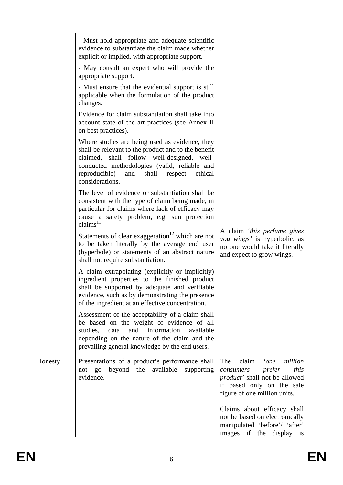|         | - Must hold appropriate and adequate scientific<br>evidence to substantiate the claim made whether<br>explicit or implied, with appropriate support.<br>- May consult an expert who will provide the                                                                          |                                                                                                                                                                     |
|---------|-------------------------------------------------------------------------------------------------------------------------------------------------------------------------------------------------------------------------------------------------------------------------------|---------------------------------------------------------------------------------------------------------------------------------------------------------------------|
|         | appropriate support.<br>- Must ensure that the evidential support is still<br>applicable when the formulation of the product<br>changes.                                                                                                                                      |                                                                                                                                                                     |
|         | Evidence for claim substantiation shall take into<br>account state of the art practices (see Annex II<br>on best practices).                                                                                                                                                  |                                                                                                                                                                     |
|         | Where studies are being used as evidence, they<br>shall be relevant to the product and to the benefit<br>claimed, shall follow well-designed, well-<br>conducted methodologies (valid, reliable and<br>reproducible)<br>and<br>shall<br>respect<br>ethical<br>considerations. |                                                                                                                                                                     |
|         | The level of evidence or substantiation shall be<br>consistent with the type of claim being made, in<br>particular for claims where lack of efficacy may<br>cause a safety problem, e.g. sun protection<br>claims $^{11}$ .                                                   |                                                                                                                                                                     |
|         | Statements of clear exaggeration <sup>12</sup> which are not<br>to be taken literally by the average end user<br>(hyperbole) or statements of an abstract nature<br>shall not require substantiation.                                                                         | A claim 'this perfume gives<br>you wings' is hyperbolic, as<br>no one would take it literally<br>and expect to grow wings.                                          |
|         | A claim extrapolating (explicitly or implicitly)<br>ingredient properties to the finished product<br>shall be supported by adequate and verifiable<br>evidence, such as by demonstrating the presence<br>of the ingredient at an effective concentration.                     |                                                                                                                                                                     |
|         | Assessment of the acceptability of a claim shall<br>be based on the weight of evidence of all<br>information<br>studies,<br>data and<br>available<br>depending on the nature of the claim and the<br>prevailing general knowledge by the end users.                           |                                                                                                                                                                     |
| Honesty | Presentations of a product's performance shall<br>beyond the available supporting<br>not go<br>evidence.                                                                                                                                                                      | million<br>claim<br>The<br>'one<br>this<br>prefer<br>consumers<br><i>product'</i> shall not be allowed<br>if based only on the sale<br>figure of one million units. |
|         |                                                                                                                                                                                                                                                                               | Claims about efficacy shall<br>not be based on electronically<br>manipulated 'before'/ 'after'<br>images if the display is                                          |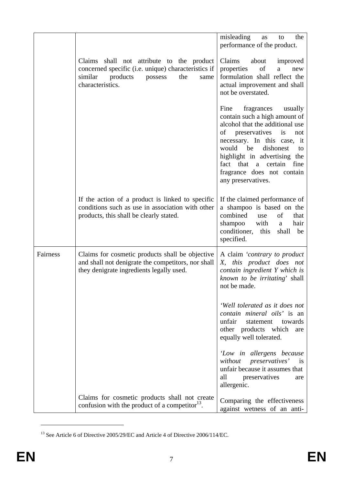|          |                                                                                                                                                                       | misleading<br>the<br>as<br>to<br>performance of the product.                                                                                                                                                                                                                                                              |
|----------|-----------------------------------------------------------------------------------------------------------------------------------------------------------------------|---------------------------------------------------------------------------------------------------------------------------------------------------------------------------------------------------------------------------------------------------------------------------------------------------------------------------|
|          | Claims shall not attribute to the product<br>concerned specific (i.e. unique) characteristics if<br>similar<br>products<br>possess<br>the<br>same<br>characteristics. | Claims<br>about<br>improved<br>properties<br>οf<br>a<br>new<br>formulation shall reflect the<br>actual improvement and shall<br>not be overstated.                                                                                                                                                                        |
|          |                                                                                                                                                                       | Fine<br>fragrances<br>usually<br>contain such a high amount of<br>alcohol that the additional use<br>is<br>of<br>preservatives<br>not<br>necessary. In this case, it<br>would<br>be<br>dishonest<br>to<br>highlight in advertising the<br>fact that a certain<br>fine<br>fragrance does not contain<br>any preservatives. |
|          | If the action of a product is linked to specific<br>conditions such as use in association with other<br>products, this shall be clearly stated.                       | If the claimed performance of<br>a shampoo is based on the<br>combined<br>of<br>that<br>use<br>shampoo<br>with<br>hair<br>a<br>conditioner,<br>this<br>shall<br>be<br>specified.                                                                                                                                          |
| Fairness | Claims for cosmetic products shall be objective<br>and shall not denigrate the competitors, nor shall<br>they denigrate ingredients legally used.                     | A claim 'contrary to product<br>this product does not<br>X,<br>contain ingredient Y which is<br>known to be irritating' shall<br>not be made.                                                                                                                                                                             |
|          |                                                                                                                                                                       | 'Well tolerated as it does not<br>contain mineral oils' is an<br>unfair<br>statement<br>towards<br>other products which<br>are<br>equally well tolerated.                                                                                                                                                                 |
|          |                                                                                                                                                                       | 'Low in allergens because<br>without preservatives' is<br>unfair because it assumes that<br>all<br>preservatives<br>are<br>allergenic.                                                                                                                                                                                    |
|          | Claims for cosmetic products shall not create<br>confusion with the product of a competitor <sup>13</sup> .                                                           | Comparing the effectiveness<br>against wetness of an anti-                                                                                                                                                                                                                                                                |

 $^{13}$  See Article 6 of Directive 2005/29/EC and Article 4 of Directive 2006/114/EC.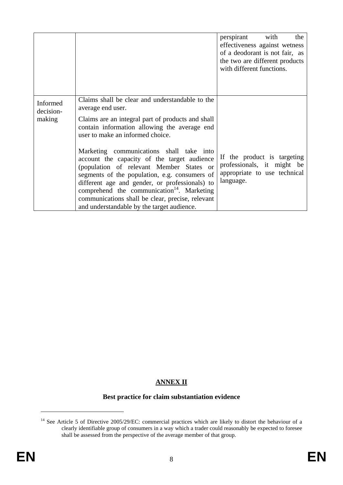|                                 |                                                                                                                                                                                                                                                                                                                                                                                                    | perspirant with<br>the<br>effectiveness against wetness<br>of a deodorant is not fair, as<br>the two are different products<br>with different functions. |
|---------------------------------|----------------------------------------------------------------------------------------------------------------------------------------------------------------------------------------------------------------------------------------------------------------------------------------------------------------------------------------------------------------------------------------------------|----------------------------------------------------------------------------------------------------------------------------------------------------------|
| Informed<br>decision-<br>making | Claims shall be clear and understandable to the<br>average end user.<br>Claims are an integral part of products and shall<br>contain information allowing the average end<br>user to make an informed choice.                                                                                                                                                                                      |                                                                                                                                                          |
|                                 | Marketing communications shall take into<br>account the capacity of the target audience<br>(population of relevant Member States or<br>segments of the population, e.g. consumers of<br>different age and gender, or professionals) to<br>comprehend the communication <sup>14</sup> . Marketing<br>communications shall be clear, precise, relevant<br>and understandable by the target audience. | If the product is targeting<br>professionals, it might be<br>appropriate to use technical<br>language.                                                   |

### **ANNEX II**

### **Best practice for claim substantiation evidence**

<sup>&</sup>lt;sup>14</sup> See Article 5 of Directive 2005/29/EC: commercial practices which are likely to distort the behaviour of a clearly identifiable group of consumers in a way which a trader could reasonably be expected to foresee shall be assessed from the perspective of the average member of that group.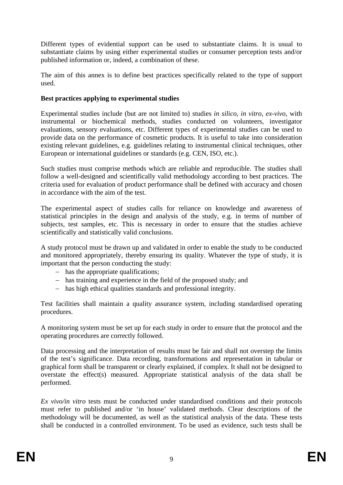Different types of evidential support can be used to substantiate claims. It is usual to substantiate claims by using either experimental studies or consumer perception tests and/or published information or, indeed, a combination of these.

The aim of this annex is to define best practices specifically related to the type of support used.

#### **Best practices applying to experimental studies**

Experimental studies include (but are not limited to) studies *in silico*, *in vitro, ex-vivo,* with instrumental or biochemical methods, studies conducted on volunteers, investigator evaluations, sensory evaluations, etc. Different types of experimental studies can be used to provide data on the performance of cosmetic products. It is useful to take into consideration existing relevant guidelines, e.g. guidelines relating to instrumental clinical techniques, other European or international guidelines or standards (e.g. CEN, ISO, etc.).

Such studies must comprise methods which are reliable and reproducible. The studies shall follow a well-designed and scientifically valid methodology according to best practices. The criteria used for evaluation of product performance shall be defined with accuracy and chosen in accordance with the aim of the test.

The experimental aspect of studies calls for reliance on knowledge and awareness of statistical principles in the design and analysis of the study, e.g. in terms of number of subjects, test samples, etc. This is necessary in order to ensure that the studies achieve scientifically and statistically valid conclusions.

A study protocol must be drawn up and validated in order to enable the study to be conducted and monitored appropriately, thereby ensuring its quality. Whatever the type of study, it is important that the person conducting the study:

- − has the appropriate qualifications;
- − has training and experience in the field of the proposed study; and
- − has high ethical qualities standards and professional integrity.

Test facilities shall maintain a quality assurance system, including standardised operating procedures.

A monitoring system must be set up for each study in order to ensure that the protocol and the operating procedures are correctly followed.

Data processing and the interpretation of results must be fair and shall not overstep the limits of the test's significance. Data recording, transformations and representation in tabular or graphical form shall be transparent or clearly explained, if complex. It shall not be designed to overstate the effect(s) measured. Appropriate statistical analysis of the data shall be performed.

*Ex vivo/in vitro* tests must be conducted under standardised conditions and their protocols must refer to published and/or 'in house' validated methods. Clear descriptions of the methodology will be documented, as well as the statistical analysis of the data. These tests shall be conducted in a controlled environment. To be used as evidence, such tests shall be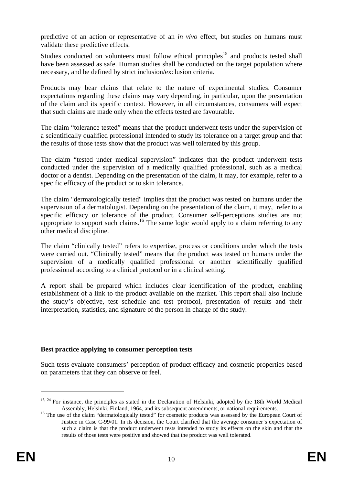predictive of an action or representative of an *in vivo* effect, but studies on humans must validate these predictive effects.

Studies conducted on volunteers must follow ethical principles<sup>15</sup> and products tested shall have been assessed as safe. Human studies shall be conducted on the target population where necessary, and be defined by strict inclusion/exclusion criteria.

Products may bear claims that relate to the nature of experimental studies. Consumer expectations regarding these claims may vary depending, in particular, upon the presentation of the claim and its specific context. However, in all circumstances, consumers will expect that such claims are made only when the effects tested are favourable.

The claim "tolerance tested" means that the product underwent tests under the supervision of a scientifically qualified professional intended to study its tolerance on a target group and that the results of those tests show that the product was well tolerated by this group.

The claim "tested under medical supervision" indicates that the product underwent tests conducted under the supervision of a medically qualified professional, such as a medical doctor or a dentist. Depending on the presentation of the claim, it may, for example, refer to a specific efficacy of the product or to skin tolerance.

The claim "dermatologically tested" implies that the product was tested on humans under the supervision of a dermatologist. Depending on the presentation of the claim, it may, refer to a specific efficacy or tolerance of the product. Consumer self-perceptions studies are not appropriate to support such claims.<sup>16</sup> The same logic would apply to a claim referring to any other medical discipline.

The claim "clinically tested" refers to expertise, process or conditions under which the tests were carried out. "Clinically tested" means that the product was tested on humans under the supervision of a medically qualified professional or another scientifically qualified professional according to a clinical protocol or in a clinical setting.

A report shall be prepared which includes clear identification of the product, enabling establishment of a link to the product available on the market. This report shall also include the study's objective, test schedule and test protocol, presentation of results and their interpretation, statistics, and signature of the person in charge of the study.

#### **Best practice applying to consumer perception tests**

Such tests evaluate consumers' perception of product efficacy and cosmetic properties based on parameters that they can observe or feel.

<sup>&</sup>lt;sup>15, 24</sup> For instance, the principles as stated in the Declaration of Helsinki, adopted by the 18th World Medical Assembly, Helsinki, Finland, 1964, and its subsequent amendments, or national requirements.

<sup>&</sup>lt;sup>16</sup> The use of the claim "dermatologically tested" for cosmetic products was assessed by the European Court of Justice in Case C-99/01. In its decision, the Court clarified that the average consumer's expectation of such a claim is that the product underwent tests intended to study its effects on the skin and that the results of those tests were positive and showed that the product was well tolerated.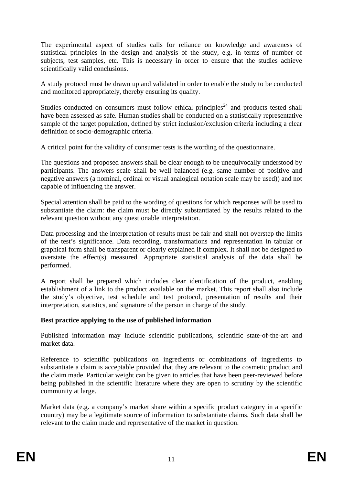The experimental aspect of studies calls for reliance on knowledge and awareness of statistical principles in the design and analysis of the study, e.g. in terms of number of subjects, test samples, etc. This is necessary in order to ensure that the studies achieve scientifically valid conclusions.

A study protocol must be drawn up and validated in order to enable the study to be conducted and monitored appropriately, thereby ensuring its quality.

Studies conducted on consumers must follow ethical principles<sup>24</sup> and products tested shall have been assessed as safe. Human studies shall be conducted on a statistically representative sample of the target population, defined by strict inclusion/exclusion criteria including a clear definition of socio-demographic criteria.

A critical point for the validity of consumer tests is the wording of the questionnaire.

The questions and proposed answers shall be clear enough to be unequivocally understood by participants. The answers scale shall be well balanced (e.g. same number of positive and negative answers (a nominal, ordinal or visual analogical notation scale may be used)) and not capable of influencing the answer.

Special attention shall be paid to the wording of questions for which responses will be used to substantiate the claim: the claim must be directly substantiated by the results related to the relevant question without any questionable interpretation.

Data processing and the interpretation of results must be fair and shall not overstep the limits of the test's significance. Data recording, transformations and representation in tabular or graphical form shall be transparent or clearly explained if complex. It shall not be designed to overstate the effect(s) measured. Appropriate statistical analysis of the data shall be performed.

A report shall be prepared which includes clear identification of the product, enabling establishment of a link to the product available on the market. This report shall also include the study's objective, test schedule and test protocol, presentation of results and their interpretation, statistics, and signature of the person in charge of the study.

#### **Best practice applying to the use of published information**

Published information may include scientific publications, scientific state-of-the-art and market data.

Reference to scientific publications on ingredients or combinations of ingredients to substantiate a claim is acceptable provided that they are relevant to the cosmetic product and the claim made. Particular weight can be given to articles that have been peer-reviewed before being published in the scientific literature where they are open to scrutiny by the scientific community at large.

Market data (e.g. a company's market share within a specific product category in a specific country) may be a legitimate source of information to substantiate claims. Such data shall be relevant to the claim made and representative of the market in question.